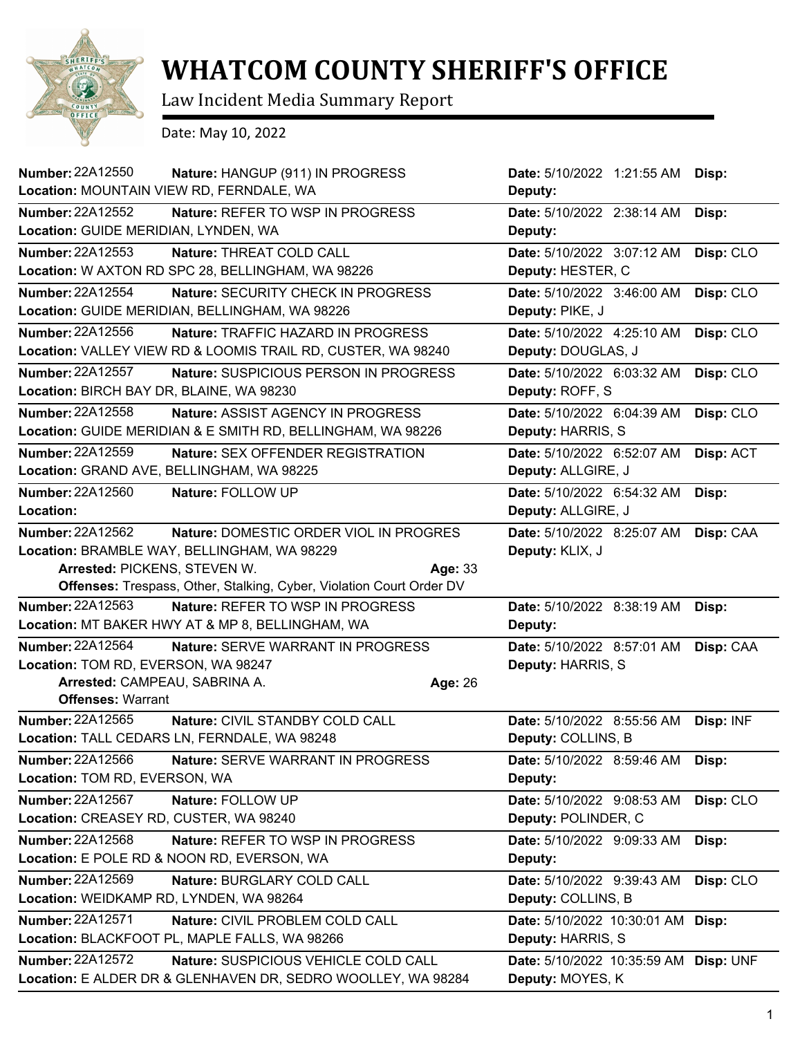

## **WHATCOM COUNTY SHERIFF'S OFFICE**

Law Incident Media Summary Report

Date: May 10, 2022

| <b>Number: 22A12550</b><br>Location: MOUNTAIN VIEW RD, FERNDALE, WA | Nature: HANGUP (911) IN PROGRESS                                            | Date: 5/10/2022 1:21:55 AM<br>Deputy: | Disp:     |
|---------------------------------------------------------------------|-----------------------------------------------------------------------------|---------------------------------------|-----------|
| <b>Number: 22A12552</b>                                             | Nature: REFER TO WSP IN PROGRESS                                            | Date: 5/10/2022 2:38:14 AM            | Disp:     |
| Location: GUIDE MERIDIAN, LYNDEN, WA                                |                                                                             | Deputy:                               |           |
| Number: 22A12553                                                    | Nature: THREAT COLD CALL                                                    | Date: 5/10/2022 3:07:12 AM            | Disp: CLO |
|                                                                     | Location: W AXTON RD SPC 28, BELLINGHAM, WA 98226                           | Deputy: HESTER, C                     |           |
| <b>Number: 22A12554</b>                                             | Nature: SECURITY CHECK IN PROGRESS                                          | Date: 5/10/2022 3:46:00 AM            | Disp: CLO |
|                                                                     | Location: GUIDE MERIDIAN, BELLINGHAM, WA 98226                              | Deputy: PIKE, J                       |           |
| Number: 22A12556                                                    | Nature: TRAFFIC HAZARD IN PROGRESS                                          | Date: 5/10/2022 4:25:10 AM            | Disp: CLO |
|                                                                     | Location: VALLEY VIEW RD & LOOMIS TRAIL RD, CUSTER, WA 98240                | Deputy: DOUGLAS, J                    |           |
| <b>Number: 22A12557</b>                                             | Nature: SUSPICIOUS PERSON IN PROGRESS                                       | Date: 5/10/2022 6:03:32 AM            | Disp: CLO |
| Location: BIRCH BAY DR, BLAINE, WA 98230                            |                                                                             | Deputy: ROFF, S                       |           |
| <b>Number: 22A12558</b>                                             | <b>Nature: ASSIST AGENCY IN PROGRESS</b>                                    | Date: 5/10/2022 6:04:39 AM            | Disp: CLO |
|                                                                     | Location: GUIDE MERIDIAN & E SMITH RD, BELLINGHAM, WA 98226                 | Deputy: HARRIS, S                     |           |
| <b>Number: 22A12559</b>                                             | Nature: SEX OFFENDER REGISTRATION                                           | Date: 5/10/2022 6:52:07 AM            | Disp: ACT |
|                                                                     | Location: GRAND AVE, BELLINGHAM, WA 98225                                   | Deputy: ALLGIRE, J                    |           |
| Number: 22A12560                                                    | Nature: FOLLOW UP                                                           | Date: 5/10/2022 6:54:32 AM            | Disp:     |
| Location:                                                           |                                                                             | Deputy: ALLGIRE, J                    |           |
| <b>Number: 22A12562</b>                                             | Nature: DOMESTIC ORDER VIOL IN PROGRES                                      | Date: 5/10/2022 8:25:07 AM            | Disp: CAA |
|                                                                     | Location: BRAMBLE WAY, BELLINGHAM, WA 98229                                 | Deputy: KLIX, J                       |           |
| Arrested: PICKENS, STEVEN W.                                        |                                                                             | Age: 33                               |           |
|                                                                     | <b>Offenses:</b> Trespass, Other, Stalking, Cyber, Violation Court Order DV |                                       |           |
| Number: 22A12563                                                    | Nature: REFER TO WSP IN PROGRESS                                            | Date: 5/10/2022 8:38:19 AM            | Disp:     |
|                                                                     | Location: MT BAKER HWY AT & MP 8, BELLINGHAM, WA                            | Deputy:                               |           |
| <b>Number: 22A12564</b>                                             | Nature: SERVE WARRANT IN PROGRESS                                           | Date: 5/10/2022 8:57:01 AM            | Disp: CAA |
| Location: TOM RD, EVERSON, WA 98247                                 |                                                                             | Deputy: HARRIS, S                     |           |
| Arrested: CAMPEAU, SABRINA A.                                       |                                                                             | Age: 26                               |           |
| <b>Offenses: Warrant</b>                                            |                                                                             |                                       |           |
| Number: 22A12565                                                    | Nature: CIVIL STANDBY COLD CALL                                             | Date: 5/10/2022 8:55:56 AM            | Disp: INF |
|                                                                     | Location: TALL CEDARS LN, FERNDALE, WA 98248                                | Deputy: COLLINS, B                    |           |
| Number: 22A12566                                                    | Nature: SERVE WARRANT IN PROGRESS                                           | Date: 5/10/2022 8:59:46 AM            | Disp:     |
| Location: TOM RD, EVERSON, WA                                       |                                                                             | Deputy:                               |           |
| <b>Number: 22A12567</b>                                             | Nature: FOLLOW UP                                                           | Date: 5/10/2022 9:08:53 AM            | Disp: CLO |
| Location: CREASEY RD, CUSTER, WA 98240                              |                                                                             | Deputy: POLINDER, C                   |           |
| Number: 22A12568                                                    | Nature: REFER TO WSP IN PROGRESS                                            | Date: 5/10/2022 9:09:33 AM            | Disp:     |
|                                                                     | Location: E POLE RD & NOON RD, EVERSON, WA                                  | Deputy:                               |           |
| Number: 22A12569                                                    | Nature: BURGLARY COLD CALL                                                  | Date: 5/10/2022 9:39:43 AM            | Disp: CLO |
| Location: WEIDKAMP RD, LYNDEN, WA 98264                             |                                                                             | Deputy: COLLINS, B                    |           |
| Number: 22A12571                                                    | Nature: CIVIL PROBLEM COLD CALL                                             | Date: 5/10/2022 10:30:01 AM           | Disp:     |
|                                                                     | Location: BLACKFOOT PL, MAPLE FALLS, WA 98266                               | Deputy: HARRIS, S                     |           |
| <b>Number: 22A12572</b>                                             | Nature: SUSPICIOUS VEHICLE COLD CALL                                        | Date: 5/10/2022 10:35:59 AM           | Disp: UNF |
|                                                                     | Location: E ALDER DR & GLENHAVEN DR, SEDRO WOOLLEY, WA 98284                | Deputy: MOYES, K                      |           |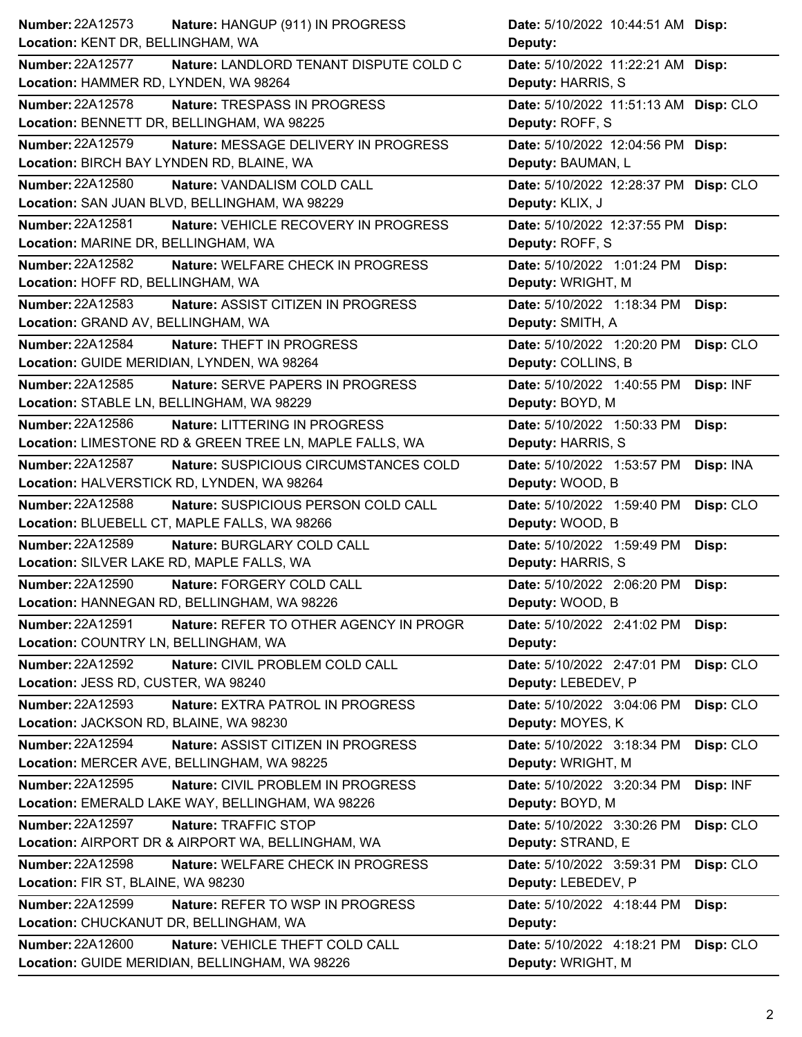| Deputy:<br>Nature: LANDLORD TENANT DISPUTE COLD C<br>Date: 5/10/2022 11:22:21 AM Disp:<br>Location: HAMMER RD, LYNDEN, WA 98264<br>Deputy: HARRIS, S<br>Nature: TRESPASS IN PROGRESS<br>Date: 5/10/2022 11:51:13 AM Disp: CLO<br>Location: BENNETT DR, BELLINGHAM, WA 98225<br>Deputy: ROFF, S<br>Nature: MESSAGE DELIVERY IN PROGRESS<br>Date: 5/10/2022 12:04:56 PM Disp:<br>Location: BIRCH BAY LYNDEN RD, BLAINE, WA<br>Deputy: BAUMAN, L<br>Nature: VANDALISM COLD CALL<br>Date: 5/10/2022 12:28:37 PM Disp: CLO<br>Location: SAN JUAN BLVD, BELLINGHAM, WA 98229<br>Deputy: KLIX, J<br>Nature: VEHICLE RECOVERY IN PROGRESS<br>Date: 5/10/2022 12:37:55 PM Disp:<br>Deputy: ROFF, S<br>Nature: WELFARE CHECK IN PROGRESS<br>Date: 5/10/2022 1:01:24 PM<br>Disp:<br>Location: HOFF RD, BELLINGHAM, WA<br>Deputy: WRIGHT, M<br>Number: 22A12583<br>Nature: ASSIST CITIZEN IN PROGRESS<br>Date: 5/10/2022 1:18:34 PM<br>Disp:<br>Deputy: SMITH, A<br>Location: GRAND AV, BELLINGHAM, WA<br><b>Nature: THEFT IN PROGRESS</b><br>Date: 5/10/2022 1:20:20 PM<br>Disp: CLO<br>Location: GUIDE MERIDIAN, LYNDEN, WA 98264<br>Deputy: COLLINS, B<br>Nature: SERVE PAPERS IN PROGRESS<br>Date: 5/10/2022 1:40:55 PM<br>Disp: INF<br>Location: STABLE LN, BELLINGHAM, WA 98229<br>Deputy: BOYD, M<br>Nature: LITTERING IN PROGRESS<br>Date: 5/10/2022 1:50:33 PM<br>Disp:<br>Location: LIMESTONE RD & GREEN TREE LN, MAPLE FALLS, WA<br>Deputy: HARRIS, S<br>Number: 22A12587<br>Nature: SUSPICIOUS CIRCUMSTANCES COLD<br>Date: 5/10/2022 1:53:57 PM<br>Disp: INA<br>Location: HALVERSTICK RD, LYNDEN, WA 98264<br>Deputy: WOOD, B<br>Nature: SUSPICIOUS PERSON COLD CALL<br>Date: 5/10/2022 1:59:40 PM<br>Disp: CLO<br>Deputy: WOOD, B<br>Nature: BURGLARY COLD CALL<br>Date: 5/10/2022 1:59:49 PM<br>Disp:<br>Deputy: HARRIS, S<br>Date: 5/10/2022 2:06:20 PM<br>Nature: FORGERY COLD CALL<br>Disp:<br>Deputy: WOOD, B<br>Nature: REFER TO OTHER AGENCY IN PROGR<br>Date: 5/10/2022 2:41:02 PM<br>Disp:<br>Location: COUNTRY LN, BELLINGHAM, WA<br>Deputy:<br><b>Number: 22A12592</b><br>Nature: CIVIL PROBLEM COLD CALL<br>Date: 5/10/2022 2:47:01 PM<br>Disp: CLO<br>Location: JESS RD, CUSTER, WA 98240<br>Deputy: LEBEDEV, P<br><b>Number: 22A12593</b><br>Disp: CLO<br>Nature: EXTRA PATROL IN PROGRESS<br>Date: 5/10/2022 3:04:06 PM<br>Location: JACKSON RD, BLAINE, WA 98230<br>Deputy: MOYES, K<br>Number: 22A12594<br>Nature: ASSIST CITIZEN IN PROGRESS<br>Date: 5/10/2022 3:18:34 PM<br>Disp: CLO<br>Location: MERCER AVE, BELLINGHAM, WA 98225<br>Deputy: WRIGHT, M<br>Number: 22A12595<br>Nature: CIVIL PROBLEM IN PROGRESS<br>Disp: INF<br>Date: 5/10/2022 3:20:34 PM<br>Location: EMERALD LAKE WAY, BELLINGHAM, WA 98226<br>Deputy: BOYD, M<br><b>Number: 22A12597</b><br>Nature: TRAFFIC STOP<br>Disp: CLO<br>Date: 5/10/2022 3:30:26 PM<br>Location: AIRPORT DR & AIRPORT WA, BELLINGHAM, WA<br>Deputy: STRAND, E<br>Number: 22A12598<br>Nature: WELFARE CHECK IN PROGRESS<br>Date: 5/10/2022 3:59:31 PM<br>Disp: CLO<br>Location: FIR ST, BLAINE, WA 98230<br>Deputy: LEBEDEV, P<br>Number: 22A12599<br>Nature: REFER TO WSP IN PROGRESS<br>Date: 5/10/2022 4:18:44 PM<br>Disp:<br>Location: CHUCKANUT DR, BELLINGHAM, WA<br>Deputy:<br>Nature: VEHICLE THEFT COLD CALL<br>Date: 5/10/2022 4:18:21 PM Disp: CLO | Number: 22A12573<br>Nature: HANGUP (911) IN PROGRESS | Date: 5/10/2022 10:44:51 AM Disp: |
|---------------------------------------------------------------------------------------------------------------------------------------------------------------------------------------------------------------------------------------------------------------------------------------------------------------------------------------------------------------------------------------------------------------------------------------------------------------------------------------------------------------------------------------------------------------------------------------------------------------------------------------------------------------------------------------------------------------------------------------------------------------------------------------------------------------------------------------------------------------------------------------------------------------------------------------------------------------------------------------------------------------------------------------------------------------------------------------------------------------------------------------------------------------------------------------------------------------------------------------------------------------------------------------------------------------------------------------------------------------------------------------------------------------------------------------------------------------------------------------------------------------------------------------------------------------------------------------------------------------------------------------------------------------------------------------------------------------------------------------------------------------------------------------------------------------------------------------------------------------------------------------------------------------------------------------------------------------------------------------------------------------------------------------------------------------------------------------------------------------------------------------------------------------------------------------------------------------------------------------------------------------------------------------------------------------------------------------------------------------------------------------------------------------------------------------------------------------------------------------------------------------------------------------------------------------------------------------------------------------------------------------------------------------------------------------------------------------------------------------------------------------------------------------------------------------------------------------------------------------------------------------------------------------------------------------------------------------------------------------------------------------------------------------------------------------------------------------------------------------------------------------------------------------------------------------------------------------------------------------------------------------------------------------------------------------------------------|------------------------------------------------------|-----------------------------------|
|                                                                                                                                                                                                                                                                                                                                                                                                                                                                                                                                                                                                                                                                                                                                                                                                                                                                                                                                                                                                                                                                                                                                                                                                                                                                                                                                                                                                                                                                                                                                                                                                                                                                                                                                                                                                                                                                                                                                                                                                                                                                                                                                                                                                                                                                                                                                                                                                                                                                                                                                                                                                                                                                                                                                                                                                                                                                                                                                                                                                                                                                                                                                                                                                                                                                                                                                 | Location: KENT DR, BELLINGHAM, WA                    |                                   |
|                                                                                                                                                                                                                                                                                                                                                                                                                                                                                                                                                                                                                                                                                                                                                                                                                                                                                                                                                                                                                                                                                                                                                                                                                                                                                                                                                                                                                                                                                                                                                                                                                                                                                                                                                                                                                                                                                                                                                                                                                                                                                                                                                                                                                                                                                                                                                                                                                                                                                                                                                                                                                                                                                                                                                                                                                                                                                                                                                                                                                                                                                                                                                                                                                                                                                                                                 | <b>Number: 22A12577</b>                              |                                   |
|                                                                                                                                                                                                                                                                                                                                                                                                                                                                                                                                                                                                                                                                                                                                                                                                                                                                                                                                                                                                                                                                                                                                                                                                                                                                                                                                                                                                                                                                                                                                                                                                                                                                                                                                                                                                                                                                                                                                                                                                                                                                                                                                                                                                                                                                                                                                                                                                                                                                                                                                                                                                                                                                                                                                                                                                                                                                                                                                                                                                                                                                                                                                                                                                                                                                                                                                 |                                                      |                                   |
|                                                                                                                                                                                                                                                                                                                                                                                                                                                                                                                                                                                                                                                                                                                                                                                                                                                                                                                                                                                                                                                                                                                                                                                                                                                                                                                                                                                                                                                                                                                                                                                                                                                                                                                                                                                                                                                                                                                                                                                                                                                                                                                                                                                                                                                                                                                                                                                                                                                                                                                                                                                                                                                                                                                                                                                                                                                                                                                                                                                                                                                                                                                                                                                                                                                                                                                                 | Number: 22A12578                                     |                                   |
|                                                                                                                                                                                                                                                                                                                                                                                                                                                                                                                                                                                                                                                                                                                                                                                                                                                                                                                                                                                                                                                                                                                                                                                                                                                                                                                                                                                                                                                                                                                                                                                                                                                                                                                                                                                                                                                                                                                                                                                                                                                                                                                                                                                                                                                                                                                                                                                                                                                                                                                                                                                                                                                                                                                                                                                                                                                                                                                                                                                                                                                                                                                                                                                                                                                                                                                                 |                                                      |                                   |
|                                                                                                                                                                                                                                                                                                                                                                                                                                                                                                                                                                                                                                                                                                                                                                                                                                                                                                                                                                                                                                                                                                                                                                                                                                                                                                                                                                                                                                                                                                                                                                                                                                                                                                                                                                                                                                                                                                                                                                                                                                                                                                                                                                                                                                                                                                                                                                                                                                                                                                                                                                                                                                                                                                                                                                                                                                                                                                                                                                                                                                                                                                                                                                                                                                                                                                                                 | <b>Number: 22A12579</b>                              |                                   |
|                                                                                                                                                                                                                                                                                                                                                                                                                                                                                                                                                                                                                                                                                                                                                                                                                                                                                                                                                                                                                                                                                                                                                                                                                                                                                                                                                                                                                                                                                                                                                                                                                                                                                                                                                                                                                                                                                                                                                                                                                                                                                                                                                                                                                                                                                                                                                                                                                                                                                                                                                                                                                                                                                                                                                                                                                                                                                                                                                                                                                                                                                                                                                                                                                                                                                                                                 |                                                      |                                   |
|                                                                                                                                                                                                                                                                                                                                                                                                                                                                                                                                                                                                                                                                                                                                                                                                                                                                                                                                                                                                                                                                                                                                                                                                                                                                                                                                                                                                                                                                                                                                                                                                                                                                                                                                                                                                                                                                                                                                                                                                                                                                                                                                                                                                                                                                                                                                                                                                                                                                                                                                                                                                                                                                                                                                                                                                                                                                                                                                                                                                                                                                                                                                                                                                                                                                                                                                 | <b>Number: 22A12580</b>                              |                                   |
|                                                                                                                                                                                                                                                                                                                                                                                                                                                                                                                                                                                                                                                                                                                                                                                                                                                                                                                                                                                                                                                                                                                                                                                                                                                                                                                                                                                                                                                                                                                                                                                                                                                                                                                                                                                                                                                                                                                                                                                                                                                                                                                                                                                                                                                                                                                                                                                                                                                                                                                                                                                                                                                                                                                                                                                                                                                                                                                                                                                                                                                                                                                                                                                                                                                                                                                                 |                                                      |                                   |
|                                                                                                                                                                                                                                                                                                                                                                                                                                                                                                                                                                                                                                                                                                                                                                                                                                                                                                                                                                                                                                                                                                                                                                                                                                                                                                                                                                                                                                                                                                                                                                                                                                                                                                                                                                                                                                                                                                                                                                                                                                                                                                                                                                                                                                                                                                                                                                                                                                                                                                                                                                                                                                                                                                                                                                                                                                                                                                                                                                                                                                                                                                                                                                                                                                                                                                                                 | Number: 22A12581                                     |                                   |
|                                                                                                                                                                                                                                                                                                                                                                                                                                                                                                                                                                                                                                                                                                                                                                                                                                                                                                                                                                                                                                                                                                                                                                                                                                                                                                                                                                                                                                                                                                                                                                                                                                                                                                                                                                                                                                                                                                                                                                                                                                                                                                                                                                                                                                                                                                                                                                                                                                                                                                                                                                                                                                                                                                                                                                                                                                                                                                                                                                                                                                                                                                                                                                                                                                                                                                                                 | Location: MARINE DR, BELLINGHAM, WA                  |                                   |
|                                                                                                                                                                                                                                                                                                                                                                                                                                                                                                                                                                                                                                                                                                                                                                                                                                                                                                                                                                                                                                                                                                                                                                                                                                                                                                                                                                                                                                                                                                                                                                                                                                                                                                                                                                                                                                                                                                                                                                                                                                                                                                                                                                                                                                                                                                                                                                                                                                                                                                                                                                                                                                                                                                                                                                                                                                                                                                                                                                                                                                                                                                                                                                                                                                                                                                                                 | <b>Number: 22A12582</b>                              |                                   |
|                                                                                                                                                                                                                                                                                                                                                                                                                                                                                                                                                                                                                                                                                                                                                                                                                                                                                                                                                                                                                                                                                                                                                                                                                                                                                                                                                                                                                                                                                                                                                                                                                                                                                                                                                                                                                                                                                                                                                                                                                                                                                                                                                                                                                                                                                                                                                                                                                                                                                                                                                                                                                                                                                                                                                                                                                                                                                                                                                                                                                                                                                                                                                                                                                                                                                                                                 |                                                      |                                   |
|                                                                                                                                                                                                                                                                                                                                                                                                                                                                                                                                                                                                                                                                                                                                                                                                                                                                                                                                                                                                                                                                                                                                                                                                                                                                                                                                                                                                                                                                                                                                                                                                                                                                                                                                                                                                                                                                                                                                                                                                                                                                                                                                                                                                                                                                                                                                                                                                                                                                                                                                                                                                                                                                                                                                                                                                                                                                                                                                                                                                                                                                                                                                                                                                                                                                                                                                 |                                                      |                                   |
|                                                                                                                                                                                                                                                                                                                                                                                                                                                                                                                                                                                                                                                                                                                                                                                                                                                                                                                                                                                                                                                                                                                                                                                                                                                                                                                                                                                                                                                                                                                                                                                                                                                                                                                                                                                                                                                                                                                                                                                                                                                                                                                                                                                                                                                                                                                                                                                                                                                                                                                                                                                                                                                                                                                                                                                                                                                                                                                                                                                                                                                                                                                                                                                                                                                                                                                                 |                                                      |                                   |
|                                                                                                                                                                                                                                                                                                                                                                                                                                                                                                                                                                                                                                                                                                                                                                                                                                                                                                                                                                                                                                                                                                                                                                                                                                                                                                                                                                                                                                                                                                                                                                                                                                                                                                                                                                                                                                                                                                                                                                                                                                                                                                                                                                                                                                                                                                                                                                                                                                                                                                                                                                                                                                                                                                                                                                                                                                                                                                                                                                                                                                                                                                                                                                                                                                                                                                                                 | Number: 22A12584                                     |                                   |
|                                                                                                                                                                                                                                                                                                                                                                                                                                                                                                                                                                                                                                                                                                                                                                                                                                                                                                                                                                                                                                                                                                                                                                                                                                                                                                                                                                                                                                                                                                                                                                                                                                                                                                                                                                                                                                                                                                                                                                                                                                                                                                                                                                                                                                                                                                                                                                                                                                                                                                                                                                                                                                                                                                                                                                                                                                                                                                                                                                                                                                                                                                                                                                                                                                                                                                                                 |                                                      |                                   |
|                                                                                                                                                                                                                                                                                                                                                                                                                                                                                                                                                                                                                                                                                                                                                                                                                                                                                                                                                                                                                                                                                                                                                                                                                                                                                                                                                                                                                                                                                                                                                                                                                                                                                                                                                                                                                                                                                                                                                                                                                                                                                                                                                                                                                                                                                                                                                                                                                                                                                                                                                                                                                                                                                                                                                                                                                                                                                                                                                                                                                                                                                                                                                                                                                                                                                                                                 | Number: 22A12585                                     |                                   |
|                                                                                                                                                                                                                                                                                                                                                                                                                                                                                                                                                                                                                                                                                                                                                                                                                                                                                                                                                                                                                                                                                                                                                                                                                                                                                                                                                                                                                                                                                                                                                                                                                                                                                                                                                                                                                                                                                                                                                                                                                                                                                                                                                                                                                                                                                                                                                                                                                                                                                                                                                                                                                                                                                                                                                                                                                                                                                                                                                                                                                                                                                                                                                                                                                                                                                                                                 |                                                      |                                   |
|                                                                                                                                                                                                                                                                                                                                                                                                                                                                                                                                                                                                                                                                                                                                                                                                                                                                                                                                                                                                                                                                                                                                                                                                                                                                                                                                                                                                                                                                                                                                                                                                                                                                                                                                                                                                                                                                                                                                                                                                                                                                                                                                                                                                                                                                                                                                                                                                                                                                                                                                                                                                                                                                                                                                                                                                                                                                                                                                                                                                                                                                                                                                                                                                                                                                                                                                 | <b>Number: 22A12586</b>                              |                                   |
|                                                                                                                                                                                                                                                                                                                                                                                                                                                                                                                                                                                                                                                                                                                                                                                                                                                                                                                                                                                                                                                                                                                                                                                                                                                                                                                                                                                                                                                                                                                                                                                                                                                                                                                                                                                                                                                                                                                                                                                                                                                                                                                                                                                                                                                                                                                                                                                                                                                                                                                                                                                                                                                                                                                                                                                                                                                                                                                                                                                                                                                                                                                                                                                                                                                                                                                                 |                                                      |                                   |
|                                                                                                                                                                                                                                                                                                                                                                                                                                                                                                                                                                                                                                                                                                                                                                                                                                                                                                                                                                                                                                                                                                                                                                                                                                                                                                                                                                                                                                                                                                                                                                                                                                                                                                                                                                                                                                                                                                                                                                                                                                                                                                                                                                                                                                                                                                                                                                                                                                                                                                                                                                                                                                                                                                                                                                                                                                                                                                                                                                                                                                                                                                                                                                                                                                                                                                                                 |                                                      |                                   |
|                                                                                                                                                                                                                                                                                                                                                                                                                                                                                                                                                                                                                                                                                                                                                                                                                                                                                                                                                                                                                                                                                                                                                                                                                                                                                                                                                                                                                                                                                                                                                                                                                                                                                                                                                                                                                                                                                                                                                                                                                                                                                                                                                                                                                                                                                                                                                                                                                                                                                                                                                                                                                                                                                                                                                                                                                                                                                                                                                                                                                                                                                                                                                                                                                                                                                                                                 |                                                      |                                   |
|                                                                                                                                                                                                                                                                                                                                                                                                                                                                                                                                                                                                                                                                                                                                                                                                                                                                                                                                                                                                                                                                                                                                                                                                                                                                                                                                                                                                                                                                                                                                                                                                                                                                                                                                                                                                                                                                                                                                                                                                                                                                                                                                                                                                                                                                                                                                                                                                                                                                                                                                                                                                                                                                                                                                                                                                                                                                                                                                                                                                                                                                                                                                                                                                                                                                                                                                 | Number: 22A12588                                     |                                   |
|                                                                                                                                                                                                                                                                                                                                                                                                                                                                                                                                                                                                                                                                                                                                                                                                                                                                                                                                                                                                                                                                                                                                                                                                                                                                                                                                                                                                                                                                                                                                                                                                                                                                                                                                                                                                                                                                                                                                                                                                                                                                                                                                                                                                                                                                                                                                                                                                                                                                                                                                                                                                                                                                                                                                                                                                                                                                                                                                                                                                                                                                                                                                                                                                                                                                                                                                 | Location: BLUEBELL CT, MAPLE FALLS, WA 98266         |                                   |
|                                                                                                                                                                                                                                                                                                                                                                                                                                                                                                                                                                                                                                                                                                                                                                                                                                                                                                                                                                                                                                                                                                                                                                                                                                                                                                                                                                                                                                                                                                                                                                                                                                                                                                                                                                                                                                                                                                                                                                                                                                                                                                                                                                                                                                                                                                                                                                                                                                                                                                                                                                                                                                                                                                                                                                                                                                                                                                                                                                                                                                                                                                                                                                                                                                                                                                                                 | <b>Number: 22A12589</b>                              |                                   |
|                                                                                                                                                                                                                                                                                                                                                                                                                                                                                                                                                                                                                                                                                                                                                                                                                                                                                                                                                                                                                                                                                                                                                                                                                                                                                                                                                                                                                                                                                                                                                                                                                                                                                                                                                                                                                                                                                                                                                                                                                                                                                                                                                                                                                                                                                                                                                                                                                                                                                                                                                                                                                                                                                                                                                                                                                                                                                                                                                                                                                                                                                                                                                                                                                                                                                                                                 | Location: SILVER LAKE RD, MAPLE FALLS, WA            |                                   |
|                                                                                                                                                                                                                                                                                                                                                                                                                                                                                                                                                                                                                                                                                                                                                                                                                                                                                                                                                                                                                                                                                                                                                                                                                                                                                                                                                                                                                                                                                                                                                                                                                                                                                                                                                                                                                                                                                                                                                                                                                                                                                                                                                                                                                                                                                                                                                                                                                                                                                                                                                                                                                                                                                                                                                                                                                                                                                                                                                                                                                                                                                                                                                                                                                                                                                                                                 | Number: 22A12590                                     |                                   |
|                                                                                                                                                                                                                                                                                                                                                                                                                                                                                                                                                                                                                                                                                                                                                                                                                                                                                                                                                                                                                                                                                                                                                                                                                                                                                                                                                                                                                                                                                                                                                                                                                                                                                                                                                                                                                                                                                                                                                                                                                                                                                                                                                                                                                                                                                                                                                                                                                                                                                                                                                                                                                                                                                                                                                                                                                                                                                                                                                                                                                                                                                                                                                                                                                                                                                                                                 | Location: HANNEGAN RD, BELLINGHAM, WA 98226          |                                   |
|                                                                                                                                                                                                                                                                                                                                                                                                                                                                                                                                                                                                                                                                                                                                                                                                                                                                                                                                                                                                                                                                                                                                                                                                                                                                                                                                                                                                                                                                                                                                                                                                                                                                                                                                                                                                                                                                                                                                                                                                                                                                                                                                                                                                                                                                                                                                                                                                                                                                                                                                                                                                                                                                                                                                                                                                                                                                                                                                                                                                                                                                                                                                                                                                                                                                                                                                 | <b>Number: 22A12591</b>                              |                                   |
|                                                                                                                                                                                                                                                                                                                                                                                                                                                                                                                                                                                                                                                                                                                                                                                                                                                                                                                                                                                                                                                                                                                                                                                                                                                                                                                                                                                                                                                                                                                                                                                                                                                                                                                                                                                                                                                                                                                                                                                                                                                                                                                                                                                                                                                                                                                                                                                                                                                                                                                                                                                                                                                                                                                                                                                                                                                                                                                                                                                                                                                                                                                                                                                                                                                                                                                                 |                                                      |                                   |
|                                                                                                                                                                                                                                                                                                                                                                                                                                                                                                                                                                                                                                                                                                                                                                                                                                                                                                                                                                                                                                                                                                                                                                                                                                                                                                                                                                                                                                                                                                                                                                                                                                                                                                                                                                                                                                                                                                                                                                                                                                                                                                                                                                                                                                                                                                                                                                                                                                                                                                                                                                                                                                                                                                                                                                                                                                                                                                                                                                                                                                                                                                                                                                                                                                                                                                                                 |                                                      |                                   |
|                                                                                                                                                                                                                                                                                                                                                                                                                                                                                                                                                                                                                                                                                                                                                                                                                                                                                                                                                                                                                                                                                                                                                                                                                                                                                                                                                                                                                                                                                                                                                                                                                                                                                                                                                                                                                                                                                                                                                                                                                                                                                                                                                                                                                                                                                                                                                                                                                                                                                                                                                                                                                                                                                                                                                                                                                                                                                                                                                                                                                                                                                                                                                                                                                                                                                                                                 |                                                      |                                   |
|                                                                                                                                                                                                                                                                                                                                                                                                                                                                                                                                                                                                                                                                                                                                                                                                                                                                                                                                                                                                                                                                                                                                                                                                                                                                                                                                                                                                                                                                                                                                                                                                                                                                                                                                                                                                                                                                                                                                                                                                                                                                                                                                                                                                                                                                                                                                                                                                                                                                                                                                                                                                                                                                                                                                                                                                                                                                                                                                                                                                                                                                                                                                                                                                                                                                                                                                 |                                                      |                                   |
|                                                                                                                                                                                                                                                                                                                                                                                                                                                                                                                                                                                                                                                                                                                                                                                                                                                                                                                                                                                                                                                                                                                                                                                                                                                                                                                                                                                                                                                                                                                                                                                                                                                                                                                                                                                                                                                                                                                                                                                                                                                                                                                                                                                                                                                                                                                                                                                                                                                                                                                                                                                                                                                                                                                                                                                                                                                                                                                                                                                                                                                                                                                                                                                                                                                                                                                                 |                                                      |                                   |
|                                                                                                                                                                                                                                                                                                                                                                                                                                                                                                                                                                                                                                                                                                                                                                                                                                                                                                                                                                                                                                                                                                                                                                                                                                                                                                                                                                                                                                                                                                                                                                                                                                                                                                                                                                                                                                                                                                                                                                                                                                                                                                                                                                                                                                                                                                                                                                                                                                                                                                                                                                                                                                                                                                                                                                                                                                                                                                                                                                                                                                                                                                                                                                                                                                                                                                                                 |                                                      |                                   |
|                                                                                                                                                                                                                                                                                                                                                                                                                                                                                                                                                                                                                                                                                                                                                                                                                                                                                                                                                                                                                                                                                                                                                                                                                                                                                                                                                                                                                                                                                                                                                                                                                                                                                                                                                                                                                                                                                                                                                                                                                                                                                                                                                                                                                                                                                                                                                                                                                                                                                                                                                                                                                                                                                                                                                                                                                                                                                                                                                                                                                                                                                                                                                                                                                                                                                                                                 |                                                      |                                   |
|                                                                                                                                                                                                                                                                                                                                                                                                                                                                                                                                                                                                                                                                                                                                                                                                                                                                                                                                                                                                                                                                                                                                                                                                                                                                                                                                                                                                                                                                                                                                                                                                                                                                                                                                                                                                                                                                                                                                                                                                                                                                                                                                                                                                                                                                                                                                                                                                                                                                                                                                                                                                                                                                                                                                                                                                                                                                                                                                                                                                                                                                                                                                                                                                                                                                                                                                 |                                                      |                                   |
|                                                                                                                                                                                                                                                                                                                                                                                                                                                                                                                                                                                                                                                                                                                                                                                                                                                                                                                                                                                                                                                                                                                                                                                                                                                                                                                                                                                                                                                                                                                                                                                                                                                                                                                                                                                                                                                                                                                                                                                                                                                                                                                                                                                                                                                                                                                                                                                                                                                                                                                                                                                                                                                                                                                                                                                                                                                                                                                                                                                                                                                                                                                                                                                                                                                                                                                                 |                                                      |                                   |
|                                                                                                                                                                                                                                                                                                                                                                                                                                                                                                                                                                                                                                                                                                                                                                                                                                                                                                                                                                                                                                                                                                                                                                                                                                                                                                                                                                                                                                                                                                                                                                                                                                                                                                                                                                                                                                                                                                                                                                                                                                                                                                                                                                                                                                                                                                                                                                                                                                                                                                                                                                                                                                                                                                                                                                                                                                                                                                                                                                                                                                                                                                                                                                                                                                                                                                                                 |                                                      |                                   |
|                                                                                                                                                                                                                                                                                                                                                                                                                                                                                                                                                                                                                                                                                                                                                                                                                                                                                                                                                                                                                                                                                                                                                                                                                                                                                                                                                                                                                                                                                                                                                                                                                                                                                                                                                                                                                                                                                                                                                                                                                                                                                                                                                                                                                                                                                                                                                                                                                                                                                                                                                                                                                                                                                                                                                                                                                                                                                                                                                                                                                                                                                                                                                                                                                                                                                                                                 |                                                      |                                   |
|                                                                                                                                                                                                                                                                                                                                                                                                                                                                                                                                                                                                                                                                                                                                                                                                                                                                                                                                                                                                                                                                                                                                                                                                                                                                                                                                                                                                                                                                                                                                                                                                                                                                                                                                                                                                                                                                                                                                                                                                                                                                                                                                                                                                                                                                                                                                                                                                                                                                                                                                                                                                                                                                                                                                                                                                                                                                                                                                                                                                                                                                                                                                                                                                                                                                                                                                 |                                                      |                                   |
|                                                                                                                                                                                                                                                                                                                                                                                                                                                                                                                                                                                                                                                                                                                                                                                                                                                                                                                                                                                                                                                                                                                                                                                                                                                                                                                                                                                                                                                                                                                                                                                                                                                                                                                                                                                                                                                                                                                                                                                                                                                                                                                                                                                                                                                                                                                                                                                                                                                                                                                                                                                                                                                                                                                                                                                                                                                                                                                                                                                                                                                                                                                                                                                                                                                                                                                                 |                                                      |                                   |
|                                                                                                                                                                                                                                                                                                                                                                                                                                                                                                                                                                                                                                                                                                                                                                                                                                                                                                                                                                                                                                                                                                                                                                                                                                                                                                                                                                                                                                                                                                                                                                                                                                                                                                                                                                                                                                                                                                                                                                                                                                                                                                                                                                                                                                                                                                                                                                                                                                                                                                                                                                                                                                                                                                                                                                                                                                                                                                                                                                                                                                                                                                                                                                                                                                                                                                                                 |                                                      |                                   |
|                                                                                                                                                                                                                                                                                                                                                                                                                                                                                                                                                                                                                                                                                                                                                                                                                                                                                                                                                                                                                                                                                                                                                                                                                                                                                                                                                                                                                                                                                                                                                                                                                                                                                                                                                                                                                                                                                                                                                                                                                                                                                                                                                                                                                                                                                                                                                                                                                                                                                                                                                                                                                                                                                                                                                                                                                                                                                                                                                                                                                                                                                                                                                                                                                                                                                                                                 |                                                      |                                   |
|                                                                                                                                                                                                                                                                                                                                                                                                                                                                                                                                                                                                                                                                                                                                                                                                                                                                                                                                                                                                                                                                                                                                                                                                                                                                                                                                                                                                                                                                                                                                                                                                                                                                                                                                                                                                                                                                                                                                                                                                                                                                                                                                                                                                                                                                                                                                                                                                                                                                                                                                                                                                                                                                                                                                                                                                                                                                                                                                                                                                                                                                                                                                                                                                                                                                                                                                 | Number: 22A12600                                     |                                   |
|                                                                                                                                                                                                                                                                                                                                                                                                                                                                                                                                                                                                                                                                                                                                                                                                                                                                                                                                                                                                                                                                                                                                                                                                                                                                                                                                                                                                                                                                                                                                                                                                                                                                                                                                                                                                                                                                                                                                                                                                                                                                                                                                                                                                                                                                                                                                                                                                                                                                                                                                                                                                                                                                                                                                                                                                                                                                                                                                                                                                                                                                                                                                                                                                                                                                                                                                 | Location: GUIDE MERIDIAN, BELLINGHAM, WA 98226       | Deputy: WRIGHT, M                 |